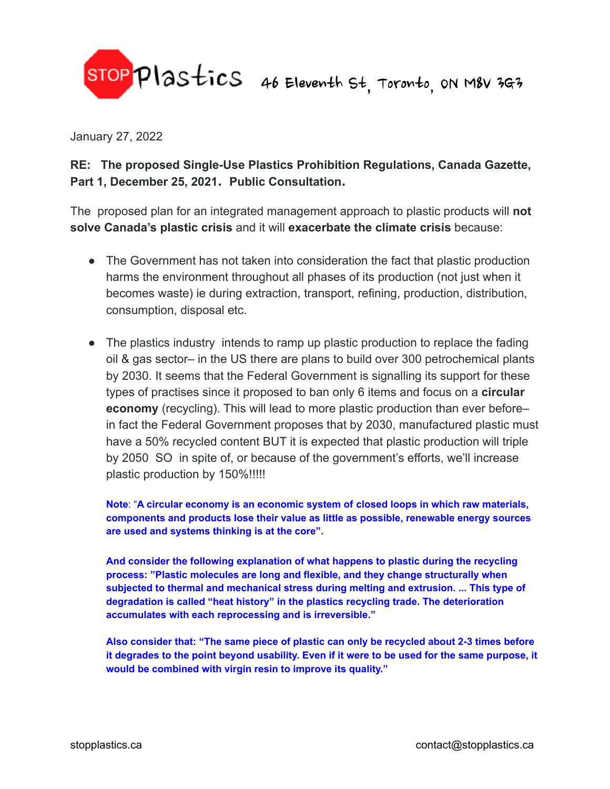

January 27, 2022

**RE: The proposed Single-Use Plastics Prohibition Regulations, Canada Gazette, Part 1, December 25, 2021. Public Consultation.**

The proposed plan for an integrated management approach to plastic products will **not solve Canada's plastic crisis** and it will **exacerbate the climate crisis** because:

- The Government has not taken into consideration the fact that plastic production harms the environment throughout all phases of its production (not just when it becomes waste) ie during extraction, transport, refining, production, distribution, consumption, disposal etc.
- The plastics industry intends to ramp up plastic production to replace the fading oil & gas sector– in the US there are plans to build over 300 petrochemical plants by 2030. It seems that the Federal Government is signalling its support for these types of practises since it proposed to ban only 6 items and focus on a **circular economy** (recycling). This will lead to more plastic production than ever before– in fact the Federal Government proposes that by 2030, manufactured plastic must have a 50% recycled content BUT it is expected that plastic production will triple by 2050 SO in spite of, or because of the government's efforts, we'll increase plastic production by 150%!!!!!

**Note**: "**A circular economy is an economic system of closed loops in which raw materials, components and products lose their value as little as possible, renewable energy sources are used and systems thinking is at the core".**

**And consider the following explanation of what happens to plastic during the recycling process: "Plastic molecules are long and flexible, and they change structurally when subjected to thermal and mechanical stress during melting and extrusion. ... This type of degradation is called "heat history" in the plastics recycling trade. The deterioration accumulates with each reprocessing and is irreversible."**

**Also consider that: "The same piece of plastic can only be recycled about 2-3 times before** it degrades to the point beyond usability. Even if it were to be used for the same purpose, it **would be combined with virgin resin to improve its quality."**